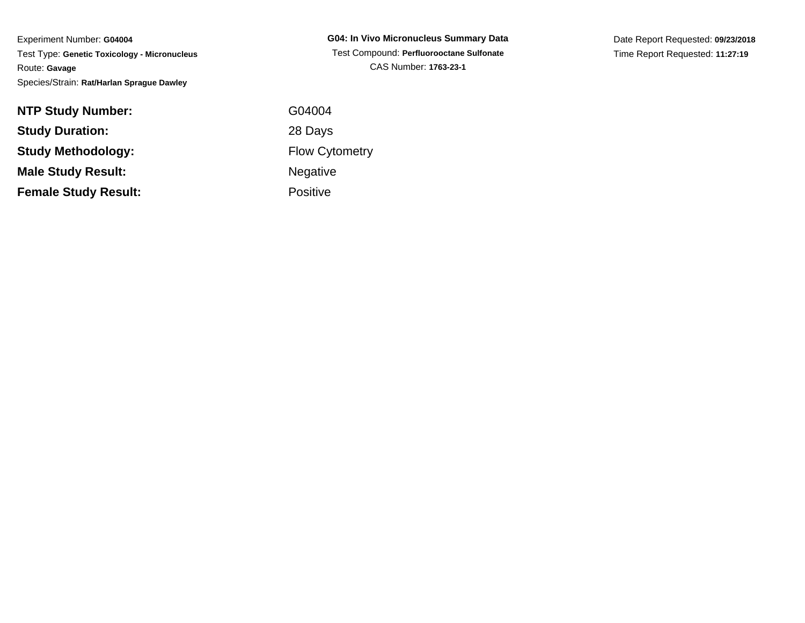Experiment Number: **G04004** Test Type: **Genetic Toxicology - Micronucleus**Route: **Gavage**Species/Strain: **Rat/Harlan Sprague Dawley**

| <b>NTP Study Number:</b>    | G04004          |
|-----------------------------|-----------------|
| <b>Study Duration:</b>      | 28 Days         |
| <b>Study Methodology:</b>   | Flow Cyt        |
| <b>Male Study Result:</b>   | Negative        |
| <b>Female Study Result:</b> | <b>Positive</b> |

**G04: In Vivo Micronucleus Summary Data** Test Compound: **Perfluorooctane Sulfonate**CAS Number: **1763-23-1**

Date Report Requested: **09/23/2018**Time Report Requested: **11:27:19**

 G04004 28 Days Flow CytometryNegative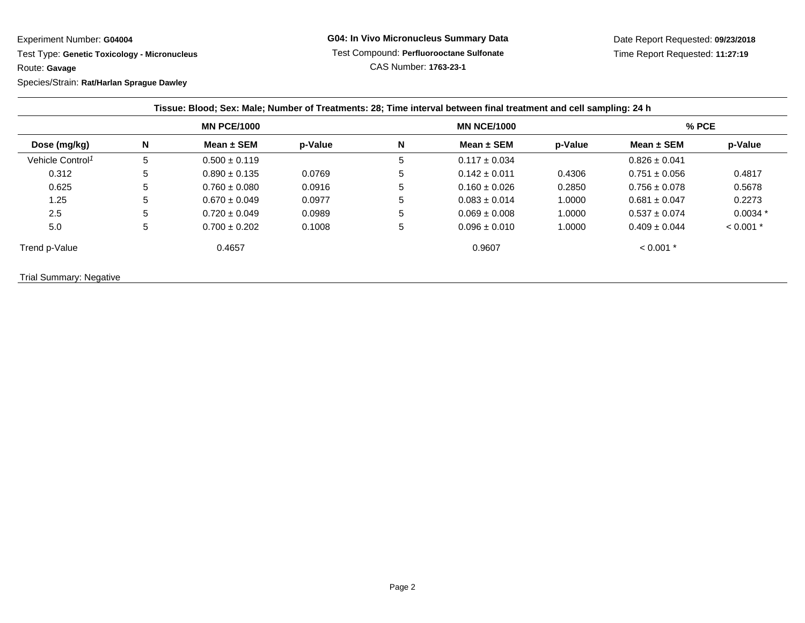Experiment Number: **G04004**

 Test Type: **Genetic Toxicology - Micronucleus**Route: **Gavage**

Species/Strain: **Rat/Harlan Sprague Dawley**

| Dose (mg/kg)                 | <b>MN PCE/1000</b> |                   |         | <b>MN NCE/1000</b> |                   |         | $%$ PCE           |             |
|------------------------------|--------------------|-------------------|---------|--------------------|-------------------|---------|-------------------|-------------|
|                              | N                  | Mean $\pm$ SEM    | p-Value | $\mathbf N$        | Mean $\pm$ SEM    | p-Value | Mean $\pm$ SEM    | p-Value     |
| Vehicle Control <sup>1</sup> | 5                  | $0.500 \pm 0.119$ |         | 5                  | $0.117 \pm 0.034$ |         | $0.826 \pm 0.041$ |             |
| 0.312                        | 5                  | $0.890 \pm 0.135$ | 0.0769  | 5                  | $0.142 \pm 0.011$ | 0.4306  | $0.751 \pm 0.056$ | 0.4817      |
| 0.625                        | 5                  | $0.760 \pm 0.080$ | 0.0916  | 5                  | $0.160 \pm 0.026$ | 0.2850  | $0.756 \pm 0.078$ | 0.5678      |
| 1.25                         | 5                  | $0.670 \pm 0.049$ | 0.0977  | 5                  | $0.083 \pm 0.014$ | 1.0000  | $0.681 \pm 0.047$ | 0.2273      |
| 2.5                          | 5                  | $0.720 \pm 0.049$ | 0.0989  | 5                  | $0.069 \pm 0.008$ | 1.0000  | $0.537 \pm 0.074$ | $0.0034*$   |
| 5.0                          | 5                  | $0.700 \pm 0.202$ | 0.1008  | 5                  | $0.096 \pm 0.010$ | 1.0000  | $0.409 \pm 0.044$ | $< 0.001$ * |
| Trend p-Value                |                    | 0.4657            |         |                    | 0.9607            |         | $< 0.001$ *       |             |

Trial Summary: Negative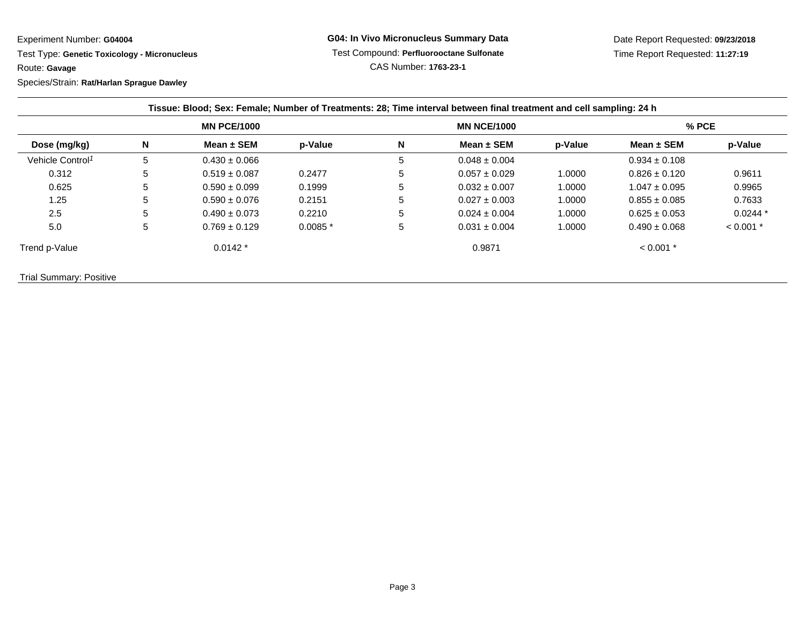Experiment Number: **G04004**

 Test Type: **Genetic Toxicology - Micronucleus**Route: **Gavage**

Species/Strain: **Rat/Harlan Sprague Dawley**

| Dose (mg/kg)                 | <b>MN PCE/1000</b> |                   |           | <b>MN NCE/1000</b> |                   |         | $%$ PCE           |             |
|------------------------------|--------------------|-------------------|-----------|--------------------|-------------------|---------|-------------------|-------------|
|                              | N                  | Mean $\pm$ SEM    | p-Value   | N                  | Mean $\pm$ SEM    | p-Value | Mean $\pm$ SEM    | p-Value     |
| Vehicle Control <sup>1</sup> | 5                  | $0.430 \pm 0.066$ |           | 5                  | $0.048 \pm 0.004$ |         | $0.934 \pm 0.108$ |             |
| 0.312                        | 5                  | $0.519 \pm 0.087$ | 0.2477    | 5                  | $0.057 \pm 0.029$ | 1.0000  | $0.826 \pm 0.120$ | 0.9611      |
| 0.625                        | 5                  | $0.590 \pm 0.099$ | 0.1999    | $\mathbf{b}$       | $0.032 \pm 0.007$ | 1.0000  | $1.047 \pm 0.095$ | 0.9965      |
| 1.25                         | 5                  | $0.590 \pm 0.076$ | 0.2151    | 5                  | $0.027 \pm 0.003$ | 1.0000  | $0.855 \pm 0.085$ | 0.7633      |
| 2.5                          | 5                  | $0.490 \pm 0.073$ | 0.2210    | 5                  | $0.024 \pm 0.004$ | 1.0000  | $0.625 \pm 0.053$ | $0.0244*$   |
| 5.0                          | 5                  | $0.769 \pm 0.129$ | $0.0085*$ | 5                  | $0.031 \pm 0.004$ | 1.0000  | $0.490 \pm 0.068$ | $< 0.001$ * |
| Trend p-Value                |                    | $0.0142*$         |           |                    | 0.9871            |         | $< 0.001$ *       |             |

Trial Summary: Positive